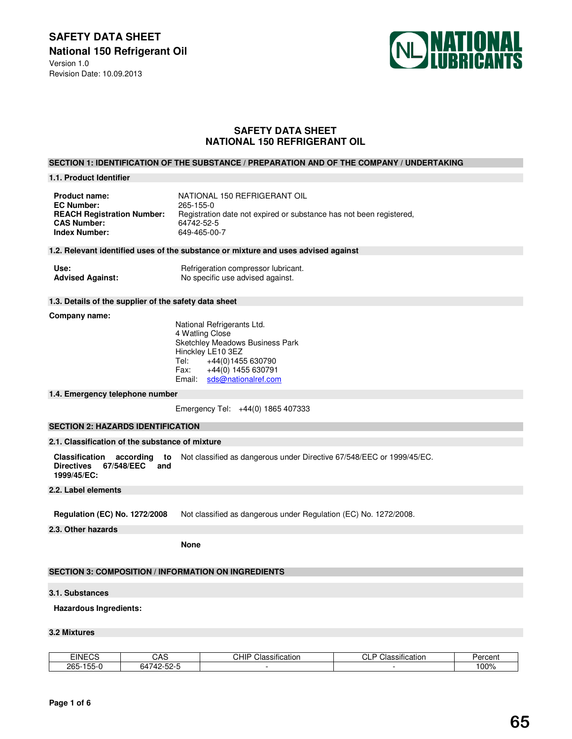**SAFETY DATA SHEET National 150 Refrigerant Oil**  Version 1.0 Revision Date: 10.09.2013



# **SAFETY DATA SHEET NATIONAL 150 REFRIGERANT OIL**

## **SECTION 1: IDENTIFICATION OF THE SUBSTANCE / PREPARATION AND OF THE COMPANY / UNDERTAKING**

#### **1.1. Product Identifier**

| <b>Product name:</b>              | NATIONAL 150 REFRIGERANT OIL                                        |
|-----------------------------------|---------------------------------------------------------------------|
| <b>EC Number:</b>                 | 265-155-0                                                           |
| <b>REACH Registration Number:</b> | Registration date not expired or substance has not been registered. |
| <b>CAS Number:</b>                | 64742-52-5                                                          |
| <b>Index Number:</b>              | 649-465-00-7                                                        |

### **1.2. Relevant identified uses of the substance or mixture and uses advised against**

| Use:                    | Refrigeration compressor lubricant. |
|-------------------------|-------------------------------------|
| <b>Advised Against:</b> | No specific use advised against.    |

### **1.3. Details of the supplier of the safety data sheet**

#### **Company name:**

 National Refrigerants Ltd. 4 Watling Close Sketchley Meadows Business Park Hinckley LE10 3EZ Tel: +44(0)1455 630790<br>Fax: +44(0) 1455 630791 +44(0) 1455 630791 Email: sds@nationalref.com

#### **1.4. Emergency telephone number**

Emergency Tel: +44(0) 1865 407333

# **SECTION 2: HAZARDS IDENTIFICATION**

# **2.1. Classification of the substance of mixture**

**Classification according to Directives 67/548/EEC 1999/45/EC:**  Not classified as dangerous under Directive 67/548/EEC or 1999/45/EC.

#### **2.2. Label elements**

**Regulation (EC) No. 1272/2008** Not classified as dangerous under Regulation (EC) No. 1272/2008.

## **2.3. Other hazards**

 **None** 

# **SECTION 3: COMPOSITION / INFORMATION ON INGREDIENTS**

#### **3.1. Substances**

### **Hazardous Ingredients:**

# **3.2 Mixtures**

| <b>EINECS</b>                                         | ے م<br>טרוט                                                                              | $\cdots$<br>CHIP<br>Classification | $\cdots$<br>ົ<br>$\sim$<br>_<br>Classification<br>◡∟ | Percent |
|-------------------------------------------------------|------------------------------------------------------------------------------------------|------------------------------------|------------------------------------------------------|---------|
| $\mathbf{r}$<br>$\sim$ $\sim$<br>755.<br>265-<br>. טע | . .<br>$ -$<br>$\overline{\phantom{a}}$<br>ኣ⊥<br>$\overline{ }$<br>-32<br>---<br>◡᠇<br>. |                                    |                                                      | 100%    |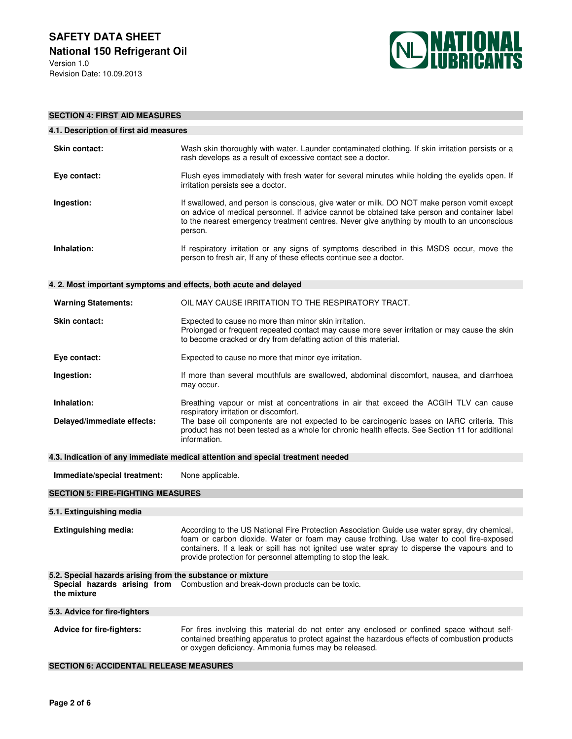

| <b>SECTION 4: FIRST AID MEASURES</b>                                            |                                                                                                                                                                                                                                                                                                                                                             |  |  |
|---------------------------------------------------------------------------------|-------------------------------------------------------------------------------------------------------------------------------------------------------------------------------------------------------------------------------------------------------------------------------------------------------------------------------------------------------------|--|--|
| 4.1. Description of first aid measures                                          |                                                                                                                                                                                                                                                                                                                                                             |  |  |
| <b>Skin contact:</b>                                                            | Wash skin thoroughly with water. Launder contaminated clothing. If skin irritation persists or a<br>rash develops as a result of excessive contact see a doctor.                                                                                                                                                                                            |  |  |
| Eye contact:                                                                    | Flush eyes immediately with fresh water for several minutes while holding the eyelids open. If<br>irritation persists see a doctor.                                                                                                                                                                                                                         |  |  |
| Ingestion:                                                                      | If swallowed, and person is conscious, give water or milk. DO NOT make person vomit except<br>on advice of medical personnel. If advice cannot be obtained take person and container label<br>to the nearest emergency treatment centres. Never give anything by mouth to an unconscious<br>person.                                                         |  |  |
| Inhalation:                                                                     | If respiratory irritation or any signs of symptoms described in this MSDS occur, move the<br>person to fresh air, If any of these effects continue see a doctor.                                                                                                                                                                                            |  |  |
| 4. 2. Most important symptoms and effects, both acute and delayed               |                                                                                                                                                                                                                                                                                                                                                             |  |  |
| <b>Warning Statements:</b>                                                      | OIL MAY CAUSE IRRITATION TO THE RESPIRATORY TRACT.                                                                                                                                                                                                                                                                                                          |  |  |
| <b>Skin contact:</b>                                                            | Expected to cause no more than minor skin irritation.<br>Prolonged or frequent repeated contact may cause more sever irritation or may cause the skin<br>to become cracked or dry from defatting action of this material.                                                                                                                                   |  |  |
| Eye contact:                                                                    | Expected to cause no more that minor eye irritation.                                                                                                                                                                                                                                                                                                        |  |  |
| Ingestion:                                                                      | If more than several mouthfuls are swallowed, abdominal discomfort, nausea, and diarrhoea<br>may occur.                                                                                                                                                                                                                                                     |  |  |
| Inhalation:<br>Delayed/immediate effects:                                       | Breathing vapour or mist at concentrations in air that exceed the ACGIH TLV can cause<br>respiratory irritation or discomfort.<br>The base oil components are not expected to be carcinogenic bases on IARC criteria. This<br>product has not been tested as a whole for chronic health effects. See Section 11 for additional<br>information.              |  |  |
| 4.3. Indication of any immediate medical attention and special treatment needed |                                                                                                                                                                                                                                                                                                                                                             |  |  |
| Immediate/special treatment:                                                    | None applicable.                                                                                                                                                                                                                                                                                                                                            |  |  |
| <b>SECTION 5: FIRE-FIGHTING MEASURES</b>                                        |                                                                                                                                                                                                                                                                                                                                                             |  |  |
| 5.1. Extinguishing media                                                        |                                                                                                                                                                                                                                                                                                                                                             |  |  |
| <b>Extinguishing media:</b>                                                     | According to the US National Fire Protection Association Guide use water spray, dry chemical,<br>foam or carbon dioxide. Water or foam may cause frothing. Use water to cool fire-exposed<br>containers. If a leak or spill has not ignited use water spray to disperse the vapours and to<br>provide protection for personnel attempting to stop the leak. |  |  |
| 5.2. Special hazards arising from the substance or mixture                      |                                                                                                                                                                                                                                                                                                                                                             |  |  |
| the mixture                                                                     | Special hazards arising from Combustion and break-down products can be toxic.                                                                                                                                                                                                                                                                               |  |  |
| 5.3. Advice for fire-fighters                                                   |                                                                                                                                                                                                                                                                                                                                                             |  |  |
| <b>Advice for fire-fighters:</b>                                                | For fires involving this material do not enter any enclosed or confined space without self-<br>contained breathing apparatus to protect against the hazardous effects of combustion products<br>or oxygen deficiency. Ammonia fumes may be released.                                                                                                        |  |  |

## **SECTION 6: ACCIDENTAL RELEASE MEASURES**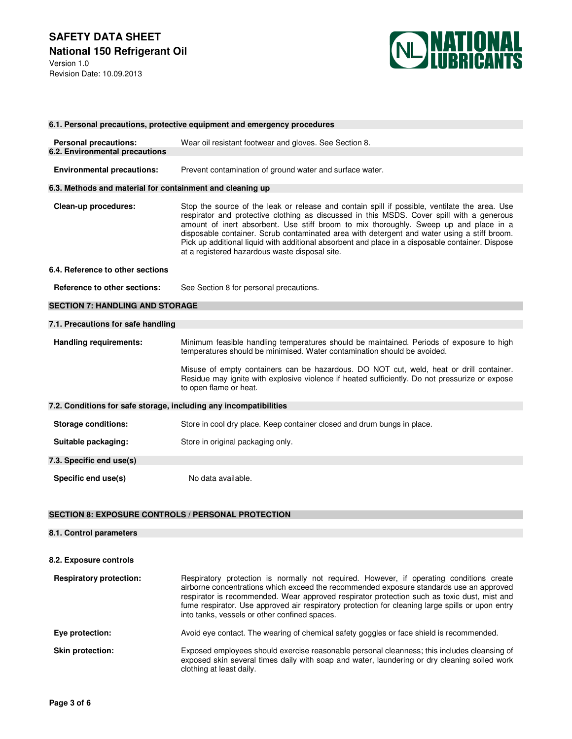Revision Date: 10.09.2013



| 6.1. Personal precautions, protective equipment and emergency procedures |                                                                                                                                                                                                                                                                                                                                                                                                                                                                                                                                          |  |  |
|--------------------------------------------------------------------------|------------------------------------------------------------------------------------------------------------------------------------------------------------------------------------------------------------------------------------------------------------------------------------------------------------------------------------------------------------------------------------------------------------------------------------------------------------------------------------------------------------------------------------------|--|--|
|                                                                          |                                                                                                                                                                                                                                                                                                                                                                                                                                                                                                                                          |  |  |
| <b>Personal precautions:</b>                                             | Wear oil resistant footwear and gloves. See Section 8.                                                                                                                                                                                                                                                                                                                                                                                                                                                                                   |  |  |
| 6.2. Environmental precautions                                           |                                                                                                                                                                                                                                                                                                                                                                                                                                                                                                                                          |  |  |
| <b>Environmental precautions:</b>                                        | Prevent contamination of ground water and surface water.                                                                                                                                                                                                                                                                                                                                                                                                                                                                                 |  |  |
| 6.3. Methods and material for containment and cleaning up                |                                                                                                                                                                                                                                                                                                                                                                                                                                                                                                                                          |  |  |
| Clean-up procedures:                                                     | Stop the source of the leak or release and contain spill if possible, ventilate the area. Use<br>respirator and protective clothing as discussed in this MSDS. Cover spill with a generous<br>amount of inert absorbent. Use stiff broom to mix thoroughly. Sweep up and place in a<br>disposable container. Scrub contaminated area with detergent and water using a stiff broom.<br>Pick up additional liquid with additional absorbent and place in a disposable container. Dispose<br>at a registered hazardous waste disposal site. |  |  |
| 6.4. Reference to other sections                                         |                                                                                                                                                                                                                                                                                                                                                                                                                                                                                                                                          |  |  |
| <b>Reference to other sections:</b>                                      | See Section 8 for personal precautions.                                                                                                                                                                                                                                                                                                                                                                                                                                                                                                  |  |  |
|                                                                          |                                                                                                                                                                                                                                                                                                                                                                                                                                                                                                                                          |  |  |
| <b>SECTION 7: HANDLING AND STORAGE</b>                                   |                                                                                                                                                                                                                                                                                                                                                                                                                                                                                                                                          |  |  |
| 7.1. Precautions for safe handling                                       |                                                                                                                                                                                                                                                                                                                                                                                                                                                                                                                                          |  |  |
| <b>Handling requirements:</b>                                            | Minimum feasible handling temperatures should be maintained. Periods of exposure to high<br>temperatures should be minimised. Water contamination should be avoided.                                                                                                                                                                                                                                                                                                                                                                     |  |  |
|                                                                          | Misuse of empty containers can be hazardous. DO NOT cut, weld, heat or drill container.<br>Residue may ignite with explosive violence if heated sufficiently. Do not pressurize or expose<br>to open flame or heat.                                                                                                                                                                                                                                                                                                                      |  |  |
| 7.2. Conditions for safe storage, including any incompatibilities        |                                                                                                                                                                                                                                                                                                                                                                                                                                                                                                                                          |  |  |
| <b>Storage conditions:</b>                                               | Store in cool dry place. Keep container closed and drum bungs in place.                                                                                                                                                                                                                                                                                                                                                                                                                                                                  |  |  |
| Suitable packaging:                                                      | Store in original packaging only.                                                                                                                                                                                                                                                                                                                                                                                                                                                                                                        |  |  |
| 7.3. Specific end use(s)                                                 |                                                                                                                                                                                                                                                                                                                                                                                                                                                                                                                                          |  |  |

# **SECTION 8: EXPOSURE CONTROLS / PERSONAL PROTECTION**

# **8.1. Control parameters 8.2. Exposure controls Respiratory protection:** Respiratory protection is normally not required. However, if operating conditions create airborne concentrations which exceed the recommended exposure standards use an approved respirator is recommended. Wear approved respirator protection such as toxic dust, mist and fume respirator. Use approved air respiratory protection for cleaning large spills or upon entry into tanks, vessels or other confined spaces. **Eye protection:** Avoid eye contact. The wearing of chemical safety goggles or face shield is recommended. **Skin protection: Exposed employees should exercise reasonable personal cleanness; this includes cleansing of** exposed skin several times daily with soap and water, laundering or dry cleaning soiled work clothing at least daily.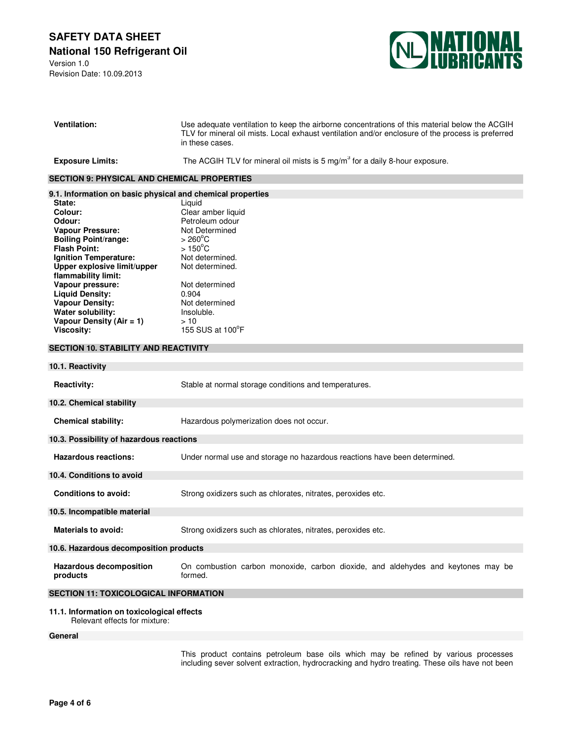# **SAFETY DATA SHEET National 150 Refrigerant Oil**

Version 1.0 Revision Date: 10.09.2013



| <b>Ventilation:</b>                                           | Use adequate ventilation to keep the airborne concentrations of this material below the ACGIH<br>TLV for mineral oil mists. Local exhaust ventilation and/or enclosure of the process is preferred<br>in these cases. |  |  |
|---------------------------------------------------------------|-----------------------------------------------------------------------------------------------------------------------------------------------------------------------------------------------------------------------|--|--|
| <b>Exposure Limits:</b>                                       | The ACGIH TLV for mineral oil mists is $5 \text{ mg/m}^3$ for a daily 8-hour exposure.                                                                                                                                |  |  |
| <b>SECTION 9: PHYSICAL AND CHEMICAL PROPERTIES</b>            |                                                                                                                                                                                                                       |  |  |
| 9.1. Information on basic physical and chemical properties    |                                                                                                                                                                                                                       |  |  |
| State:                                                        | Liquid                                                                                                                                                                                                                |  |  |
| Colour:                                                       | Clear amber liquid                                                                                                                                                                                                    |  |  |
| Odour:                                                        | Petroleum odour                                                                                                                                                                                                       |  |  |
| <b>Vapour Pressure:</b>                                       | Not Determined                                                                                                                                                                                                        |  |  |
| <b>Boiling Point/range:</b>                                   | $> 260^{\circ}$ C                                                                                                                                                                                                     |  |  |
| <b>Flash Point:</b>                                           | $>150^{\circ}$ C                                                                                                                                                                                                      |  |  |
| Ignition Temperature:                                         | Not determined.                                                                                                                                                                                                       |  |  |
| Upper explosive limit/upper<br>flammability limit:            | Not determined.                                                                                                                                                                                                       |  |  |
| Vapour pressure:                                              | Not determined                                                                                                                                                                                                        |  |  |
| <b>Liquid Density:</b>                                        | 0.904                                                                                                                                                                                                                 |  |  |
| <b>Vapour Density:</b>                                        | Not determined                                                                                                                                                                                                        |  |  |
| Water solubility:                                             | Insoluble.                                                                                                                                                                                                            |  |  |
| Vapour Density (Air = 1)                                      | >10                                                                                                                                                                                                                   |  |  |
| <b>Viscosity:</b>                                             | 155 SUS at 100°F                                                                                                                                                                                                      |  |  |
| <b>SECTION 10. STABILITY AND REACTIVITY</b>                   |                                                                                                                                                                                                                       |  |  |
| 10.1. Reactivity                                              |                                                                                                                                                                                                                       |  |  |
| <b>Reactivity:</b>                                            | Stable at normal storage conditions and temperatures.                                                                                                                                                                 |  |  |
| 10.2. Chemical stability                                      |                                                                                                                                                                                                                       |  |  |
| <b>Chemical stability:</b>                                    | Hazardous polymerization does not occur.                                                                                                                                                                              |  |  |
| 10.3. Possibility of hazardous reactions                      |                                                                                                                                                                                                                       |  |  |
| <b>Hazardous reactions:</b>                                   | Under normal use and storage no hazardous reactions have been determined.                                                                                                                                             |  |  |
| 10.4. Conditions to avoid                                     |                                                                                                                                                                                                                       |  |  |
| <b>Conditions to avoid:</b>                                   | Strong oxidizers such as chlorates, nitrates, peroxides etc.                                                                                                                                                          |  |  |
| 10.5. Incompatible material                                   |                                                                                                                                                                                                                       |  |  |
| <b>Materials to avoid:</b>                                    | Strong oxidizers such as chlorates, nitrates, peroxides etc.                                                                                                                                                          |  |  |
| 10.6. Hazardous decomposition products                        |                                                                                                                                                                                                                       |  |  |
| <b>Hazardous decomposition</b><br>products                    | On combustion carbon monoxide, carbon dioxide, and aldehydes and keytones may be<br>formed.                                                                                                                           |  |  |
| <b>SECTION 11: TOXICOLOGICAL INFORMATION</b>                  |                                                                                                                                                                                                                       |  |  |
| 11.1. Information on toxicological effects<br>$n+$ $n$ ff $n$ |                                                                                                                                                                                                                       |  |  |

Relevant effects for mixture:

**General** 

This product contains petroleum base oils which may be refined by various processes including sever solvent extraction, hydrocracking and hydro treating. These oils have not been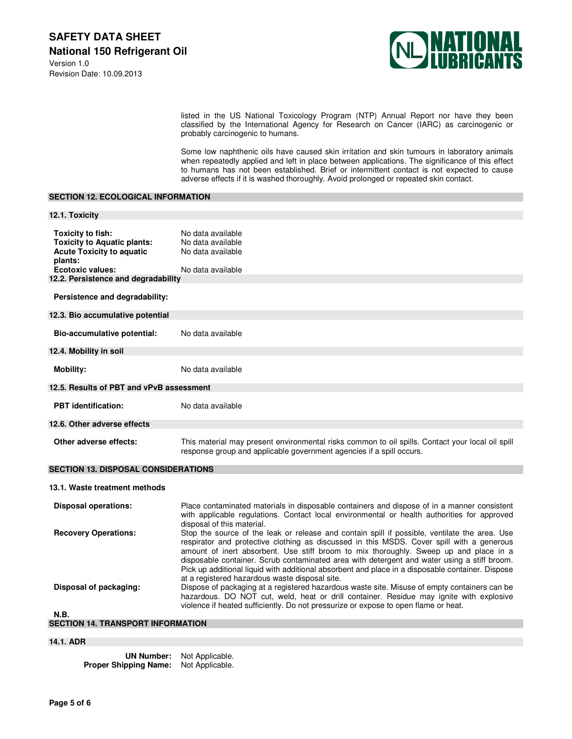

listed in the US National Toxicology Program (NTP) Annual Report nor have they been classified by the International Agency for Research on Cancer (IARC) as carcinogenic or probably carcinogenic to humans.

Some low naphthenic oils have caused skin irritation and skin tumours in laboratory animals when repeatedly applied and left in place between applications. The significance of this effect to humans has not been established. Brief or intermittent contact is not expected to cause adverse effects if it is washed thoroughly. Avoid prolonged or repeated skin contact.

## **SECTION 12. ECOLOGICAL INFORMATION**

| 12.1. Toxicity                                                                                                                    |                                                                                                                                                                                                                                                                                                                                                                                                                                                                                                                                                                                                                                          |
|-----------------------------------------------------------------------------------------------------------------------------------|------------------------------------------------------------------------------------------------------------------------------------------------------------------------------------------------------------------------------------------------------------------------------------------------------------------------------------------------------------------------------------------------------------------------------------------------------------------------------------------------------------------------------------------------------------------------------------------------------------------------------------------|
| Toxicity to fish:<br><b>Toxicity to Aquatic plants:</b><br><b>Acute Toxicity to aquatic</b><br>plants:<br><b>Ecotoxic values:</b> | No data available<br>No data available<br>No data available<br>No data available                                                                                                                                                                                                                                                                                                                                                                                                                                                                                                                                                         |
| 12.2. Persistence and degradability                                                                                               |                                                                                                                                                                                                                                                                                                                                                                                                                                                                                                                                                                                                                                          |
| Persistence and degradability:                                                                                                    |                                                                                                                                                                                                                                                                                                                                                                                                                                                                                                                                                                                                                                          |
| 12.3. Bio accumulative potential                                                                                                  |                                                                                                                                                                                                                                                                                                                                                                                                                                                                                                                                                                                                                                          |
| Bio-accumulative potential:                                                                                                       | No data available                                                                                                                                                                                                                                                                                                                                                                                                                                                                                                                                                                                                                        |
| 12.4. Mobility in soil                                                                                                            |                                                                                                                                                                                                                                                                                                                                                                                                                                                                                                                                                                                                                                          |
| <b>Mobility:</b>                                                                                                                  | No data available                                                                                                                                                                                                                                                                                                                                                                                                                                                                                                                                                                                                                        |
| 12.5. Results of PBT and vPvB assessment                                                                                          |                                                                                                                                                                                                                                                                                                                                                                                                                                                                                                                                                                                                                                          |
| <b>PBT</b> identification:                                                                                                        | No data available                                                                                                                                                                                                                                                                                                                                                                                                                                                                                                                                                                                                                        |
| 12.6. Other adverse effects                                                                                                       |                                                                                                                                                                                                                                                                                                                                                                                                                                                                                                                                                                                                                                          |
| Other adverse effects:                                                                                                            | This material may present environmental risks common to oil spills. Contact your local oil spill<br>response group and applicable government agencies if a spill occurs.                                                                                                                                                                                                                                                                                                                                                                                                                                                                 |
| <b>SECTION 13. DISPOSAL CONSIDERATIONS</b>                                                                                        |                                                                                                                                                                                                                                                                                                                                                                                                                                                                                                                                                                                                                                          |
| 13.1. Waste treatment methods                                                                                                     |                                                                                                                                                                                                                                                                                                                                                                                                                                                                                                                                                                                                                                          |
| <b>Disposal operations:</b>                                                                                                       | Place contaminated materials in disposable containers and dispose of in a manner consistent<br>with applicable regulations. Contact local environmental or health authorities for approved<br>disposal of this material.                                                                                                                                                                                                                                                                                                                                                                                                                 |
| <b>Recovery Operations:</b><br>Disposal of packaging:                                                                             | Stop the source of the leak or release and contain spill if possible, ventilate the area. Use<br>respirator and protective clothing as discussed in this MSDS. Cover spill with a generous<br>amount of inert absorbent. Use stiff broom to mix thoroughly. Sweep up and place in a<br>disposable container. Scrub contaminated area with detergent and water using a stiff broom.<br>Pick up additional liquid with additional absorbent and place in a disposable container. Dispose<br>at a registered hazardous waste disposal site.<br>Dispose of packaging at a registered hazardous waste site. Misuse of empty containers can be |
| <b>N.B.</b>                                                                                                                       | hazardous. DO NOT cut, weld, heat or drill container. Residue may ignite with explosive<br>violence if heated sufficiently. Do not pressurize or expose to open flame or heat.                                                                                                                                                                                                                                                                                                                                                                                                                                                           |

| SECTION 14. TRANSPORT INFORMATION |  |  |  |  |
|-----------------------------------|--|--|--|--|
|-----------------------------------|--|--|--|--|

# **14.1. ADR**

| <b>UN Number:</b>            | Not Applicable. |
|------------------------------|-----------------|
| <b>Proper Shipping Name:</b> | Not Applicable. |